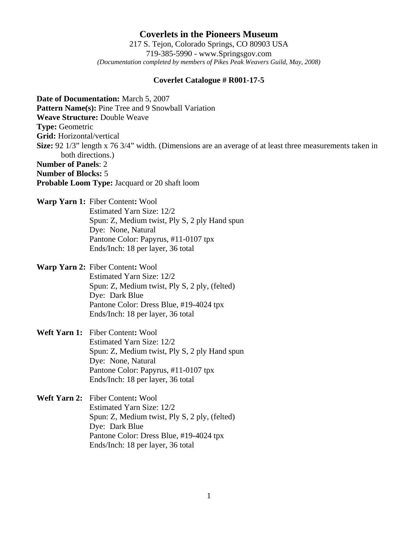**Coverlets in the Pioneers Museum** 217 S. Tejon, Colorado Springs, CO 80903 USA 719-385-5990 - www.Springsgov.com *(Documentation completed by members of Pikes Peak Weavers Guild, May, 2008)* 

## **Coverlet Catalogue # R001-17-5**

**Date of Documentation:** March 5, 2007 Pattern Name(s): Pine Tree and 9 Snowball Variation **Weave Structure:** Double Weave **Type:** Geometric **Grid:** Horizontal/vertical **Size:** 92 1/3" length x 76 3/4" width. (Dimensions are an average of at least three measurements taken in both directions.) **Number of Panels**: 2 **Number of Blocks:** 5 **Probable Loom Type:** Jacquard or 20 shaft loom

**Warp Yarn 1:** Fiber Content**:** Wool Estimated Yarn Size: 12/2 Spun: Z, Medium twist, Ply S, 2 ply Hand spun Dye: None, Natural Pantone Color: Papyrus, #11-0107 tpx Ends/Inch: 18 per layer, 36 total

**Warp Yarn 2:** Fiber Content**:** Wool Estimated Yarn Size: 12/2 Spun: Z, Medium twist, Ply S, 2 ply, (felted) Dye: Dark Blue Pantone Color: Dress Blue, #19-4024 tpx Ends/Inch: 18 per layer, 36 total

**Weft Yarn 1:** Fiber Content**:** Wool Estimated Yarn Size: 12/2 Spun: Z, Medium twist, Ply S, 2 ply Hand spun Dye: None, Natural Pantone Color: Papyrus, #11-0107 tpx Ends/Inch: 18 per layer, 36 total

**Weft Yarn 2:** Fiber Content**:** Wool Estimated Yarn Size: 12/2 Spun: Z, Medium twist, Ply S, 2 ply, (felted) Dye: Dark Blue Pantone Color: Dress Blue, #19-4024 tpx Ends/Inch: 18 per layer, 36 total